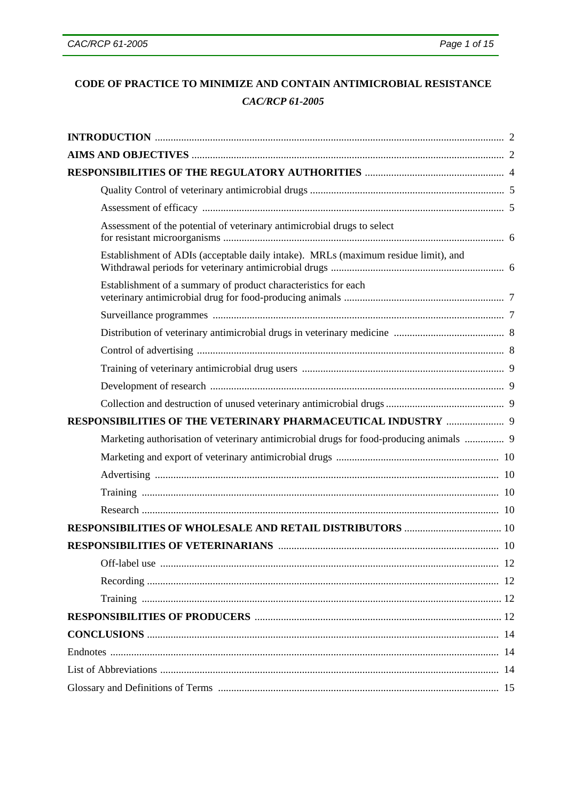# CODE OF PRACTICE TO MINIMIZE AND CONTAIN ANTIMICROBIAL RESISTANCE **CAC/RCP 61-2005**

| Assessment of the potential of veterinary antimicrobial drugs to select                 |  |
|-----------------------------------------------------------------------------------------|--|
| Establishment of ADIs (acceptable daily intake). MRLs (maximum residue limit), and      |  |
| Establishment of a summary of product characteristics for each                          |  |
|                                                                                         |  |
|                                                                                         |  |
|                                                                                         |  |
|                                                                                         |  |
|                                                                                         |  |
|                                                                                         |  |
| RESPONSIBILITIES OF THE VETERINARY PHARMACEUTICAL INDUSTRY  9                           |  |
| Marketing authorisation of veterinary antimicrobial drugs for food-producing animals  9 |  |
|                                                                                         |  |
|                                                                                         |  |
|                                                                                         |  |
|                                                                                         |  |
|                                                                                         |  |
|                                                                                         |  |
|                                                                                         |  |
|                                                                                         |  |
|                                                                                         |  |
|                                                                                         |  |
|                                                                                         |  |
|                                                                                         |  |
|                                                                                         |  |
|                                                                                         |  |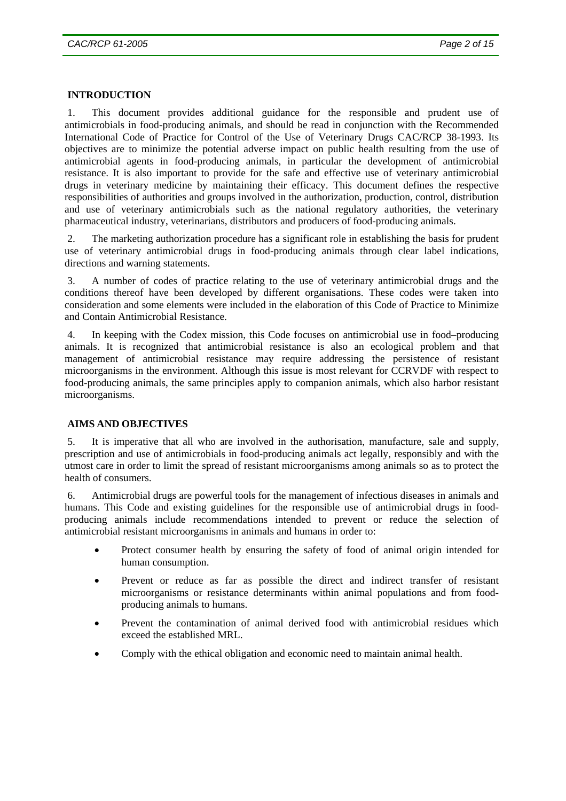#### **INTRODUCTION**

1. This document provides additional guidance for the responsible and prudent use of antimicrobials in food-producing animals, and should be read in conjunction with the Recommended International Code of Practice for Control of the Use of Veterinary Drugs CAC/RCP 38-1993. Its objectives are to minimize the potential adverse impact on public health resulting from the use of antimicrobial agents in food-producing animals, in particular the development of antimicrobial resistance. It is also important to provide for the safe and effective use of veterinary antimicrobial drugs in veterinary medicine by maintaining their efficacy. This document defines the respective responsibilities of authorities and groups involved in the authorization, production, control, distribution and use of veterinary antimicrobials such as the national regulatory authorities, the veterinary pharmaceutical industry, veterinarians, distributors and producers of food-producing animals.

2. The marketing authorization procedure has a significant role in establishing the basis for prudent use of veterinary antimicrobial drugs in food-producing animals through clear label indications, directions and warning statements.

3. A number of codes of practice relating to the use of veterinary antimicrobial drugs and the conditions thereof have been developed by different organisations. These codes were taken into consideration and some elements were included in the elaboration of this Code of Practice to Minimize and Contain Antimicrobial Resistance.

4. In keeping with the Codex mission, this Code focuses on antimicrobial use in food–producing animals. It is recognized that antimicrobial resistance is also an ecological problem and that management of antimicrobial resistance may require addressing the persistence of resistant microorganisms in the environment. Although this issue is most relevant for CCRVDF with respect to food-producing animals, the same principles apply to companion animals, which also harbor resistant microorganisms.

## **AIMS AND OBJECTIVES**

5. It is imperative that all who are involved in the authorisation, manufacture, sale and supply, prescription and use of antimicrobials in food-producing animals act legally, responsibly and with the utmost care in order to limit the spread of resistant microorganisms among animals so as to protect the health of consumers.

6. Antimicrobial drugs are powerful tools for the management of infectious diseases in animals and humans. This Code and existing guidelines for the responsible use of antimicrobial drugs in foodproducing animals include recommendations intended to prevent or reduce the selection of antimicrobial resistant microorganisms in animals and humans in order to:

- Protect consumer health by ensuring the safety of food of animal origin intended for human consumption.
- Prevent or reduce as far as possible the direct and indirect transfer of resistant microorganisms or resistance determinants within animal populations and from foodproducing animals to humans.
- Prevent the contamination of animal derived food with antimicrobial residues which exceed the established MRL.
- Comply with the ethical obligation and economic need to maintain animal health.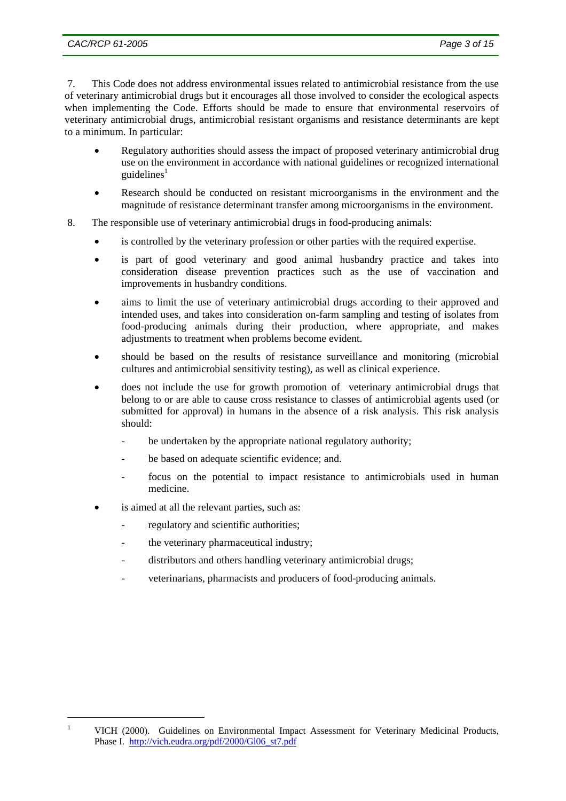7. This Code does not address environmental issues related to antimicrobial resistance from the use of veterinary antimicrobial drugs but it encourages all those involved to consider the ecological aspects when implementing the Code. Efforts should be made to ensure that environmental reservoirs of veterinary antimicrobial drugs, antimicrobial resistant organisms and resistance determinants are kept to a minimum. In particular:

- Regulatory authorities should assess the impact of proposed veterinary antimicrobial drug use on the environment in accordance with national guidelines or recognized international guidelines $<sup>1</sup>$ </sup>
- Research should be conducted on resistant microorganisms in the environment and the magnitude of resistance determinant transfer among microorganisms in the environment.
- 8. The responsible use of veterinary antimicrobial drugs in food-producing animals:
	- is controlled by the veterinary profession or other parties with the required expertise.
	- is part of good veterinary and good animal husbandry practice and takes into consideration disease prevention practices such as the use of vaccination and improvements in husbandry conditions.
	- aims to limit the use of veterinary antimicrobial drugs according to their approved and intended uses, and takes into consideration on-farm sampling and testing of isolates from food-producing animals during their production, where appropriate, and makes adjustments to treatment when problems become evident.
	- should be based on the results of resistance surveillance and monitoring (microbial cultures and antimicrobial sensitivity testing), as well as clinical experience.
	- does not include the use for growth promotion of veterinary antimicrobial drugs that belong to or are able to cause cross resistance to classes of antimicrobial agents used (or submitted for approval) in humans in the absence of a risk analysis. This risk analysis should:
		- be undertaken by the appropriate national regulatory authority;
		- be based on adequate scientific evidence; and.
		- focus on the potential to impact resistance to antimicrobials used in human medicine.
	- is aimed at all the relevant parties, such as:

 1

- regulatory and scientific authorities;
- the veterinary pharmaceutical industry;
- distributors and others handling veterinary antimicrobial drugs;
- veterinarians, pharmacists and producers of food-producing animals.

VICH (2000). Guidelines on Environmental Impact Assessment for Veterinary Medicinal Products, Phase I. http://vich.eudra.org/pdf/2000/Gl06\_st7.pdf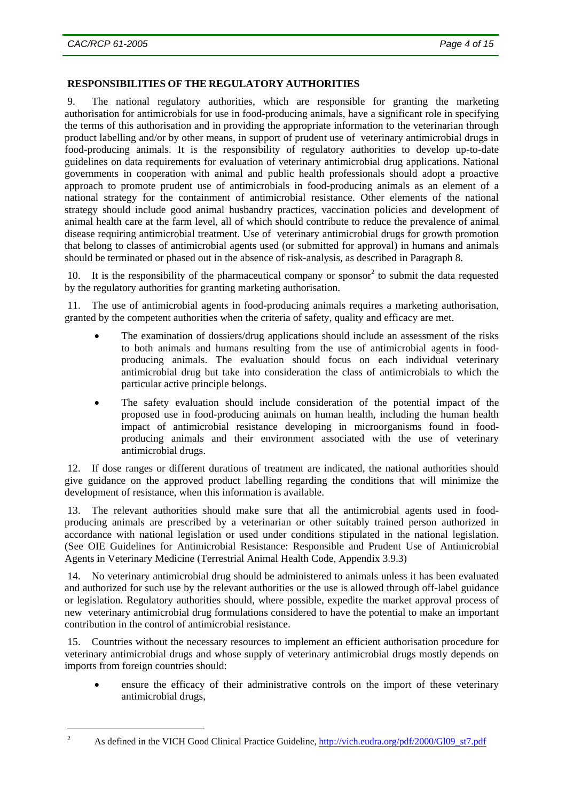## **RESPONSIBILITIES OF THE REGULATORY AUTHORITIES**

9. The national regulatory authorities, which are responsible for granting the marketing authorisation for antimicrobials for use in food-producing animals, have a significant role in specifying the terms of this authorisation and in providing the appropriate information to the veterinarian through product labelling and/or by other means, in support of prudent use of veterinary antimicrobial drugs in food-producing animals. It is the responsibility of regulatory authorities to develop up-to-date guidelines on data requirements for evaluation of veterinary antimicrobial drug applications. National governments in cooperation with animal and public health professionals should adopt a proactive approach to promote prudent use of antimicrobials in food-producing animals as an element of a national strategy for the containment of antimicrobial resistance. Other elements of the national strategy should include good animal husbandry practices, vaccination policies and development of animal health care at the farm level, all of which should contribute to reduce the prevalence of animal disease requiring antimicrobial treatment. Use of veterinary antimicrobial drugs for growth promotion that belong to classes of antimicrobial agents used (or submitted for approval) in humans and animals should be terminated or phased out in the absence of risk-analysis, as described in Paragraph 8.

10. It is the responsibility of the pharmaceutical company or sponsor $2$  to submit the data requested by the regulatory authorities for granting marketing authorisation.

11. The use of antimicrobial agents in food-producing animals requires a marketing authorisation, granted by the competent authorities when the criteria of safety, quality and efficacy are met.

- The examination of dossiers/drug applications should include an assessment of the risks to both animals and humans resulting from the use of antimicrobial agents in foodproducing animals. The evaluation should focus on each individual veterinary antimicrobial drug but take into consideration the class of antimicrobials to which the particular active principle belongs.
- The safety evaluation should include consideration of the potential impact of the proposed use in food-producing animals on human health, including the human health impact of antimicrobial resistance developing in microorganisms found in foodproducing animals and their environment associated with the use of veterinary antimicrobial drugs.

12. If dose ranges or different durations of treatment are indicated, the national authorities should give guidance on the approved product labelling regarding the conditions that will minimize the development of resistance, when this information is available.

13. The relevant authorities should make sure that all the antimicrobial agents used in foodproducing animals are prescribed by a veterinarian or other suitably trained person authorized in accordance with national legislation or used under conditions stipulated in the national legislation. (See OIE Guidelines for Antimicrobial Resistance: Responsible and Prudent Use of Antimicrobial Agents in Veterinary Medicine (Terrestrial Animal Health Code, Appendix 3.9.3)

14. No veterinary antimicrobial drug should be administered to animals unless it has been evaluated and authorized for such use by the relevant authorities or the use is allowed through off-label guidance or legislation. Regulatory authorities should, where possible, expedite the market approval process of new veterinary antimicrobial drug formulations considered to have the potential to make an important contribution in the control of antimicrobial resistance.

15. Countries without the necessary resources to implement an efficient authorisation procedure for veterinary antimicrobial drugs and whose supply of veterinary antimicrobial drugs mostly depends on imports from foreign countries should:

• ensure the efficacy of their administrative controls on the import of these veterinary antimicrobial drugs,

l 2

As defined in the VICH Good Clinical Practice Guideline, http://vich.eudra.org/pdf/2000/Gl09\_st7.pdf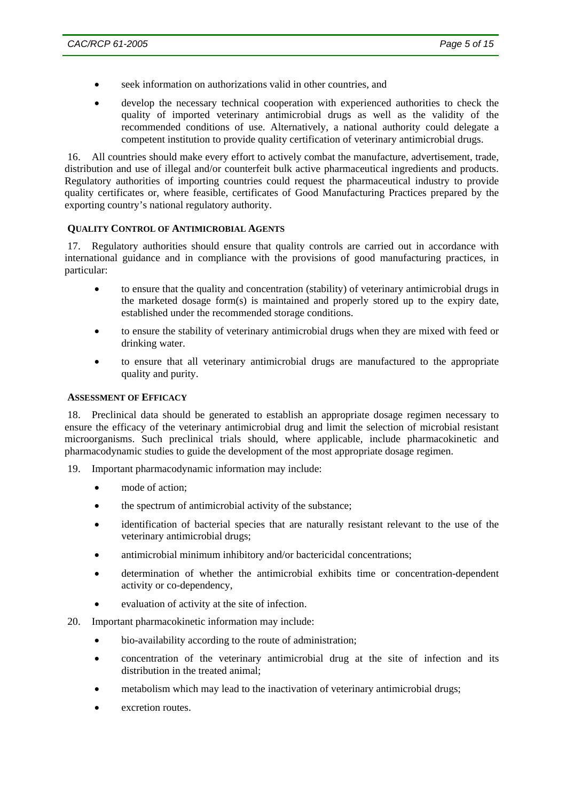- seek information on authorizations valid in other countries, and
- develop the necessary technical cooperation with experienced authorities to check the quality of imported veterinary antimicrobial drugs as well as the validity of the recommended conditions of use. Alternatively, a national authority could delegate a competent institution to provide quality certification of veterinary antimicrobial drugs.

16. All countries should make every effort to actively combat the manufacture, advertisement, trade, distribution and use of illegal and/or counterfeit bulk active pharmaceutical ingredients and products. Regulatory authorities of importing countries could request the pharmaceutical industry to provide quality certificates or, where feasible, certificates of Good Manufacturing Practices prepared by the exporting country's national regulatory authority.

#### **QUALITY CONTROL OF ANTIMICROBIAL AGENTS**

17. Regulatory authorities should ensure that quality controls are carried out in accordance with international guidance and in compliance with the provisions of good manufacturing practices, in particular:

- to ensure that the quality and concentration (stability) of veterinary antimicrobial drugs in the marketed dosage form(s) is maintained and properly stored up to the expiry date, established under the recommended storage conditions.
- to ensure the stability of veterinary antimicrobial drugs when they are mixed with feed or drinking water.
- to ensure that all veterinary antimicrobial drugs are manufactured to the appropriate quality and purity.

#### **ASSESSMENT OF EFFICACY**

18. Preclinical data should be generated to establish an appropriate dosage regimen necessary to ensure the efficacy of the veterinary antimicrobial drug and limit the selection of microbial resistant microorganisms. Such preclinical trials should, where applicable, include pharmacokinetic and pharmacodynamic studies to guide the development of the most appropriate dosage regimen.

19. Important pharmacodynamic information may include:

- mode of action;
- the spectrum of antimicrobial activity of the substance;
- identification of bacterial species that are naturally resistant relevant to the use of the veterinary antimicrobial drugs;
- antimicrobial minimum inhibitory and/or bactericidal concentrations;
- determination of whether the antimicrobial exhibits time or concentration-dependent activity or co-dependency,
- evaluation of activity at the site of infection.
- 20. Important pharmacokinetic information may include:
	- bio-availability according to the route of administration;
	- concentration of the veterinary antimicrobial drug at the site of infection and its distribution in the treated animal;
	- metabolism which may lead to the inactivation of veterinary antimicrobial drugs;
	- excretion routes.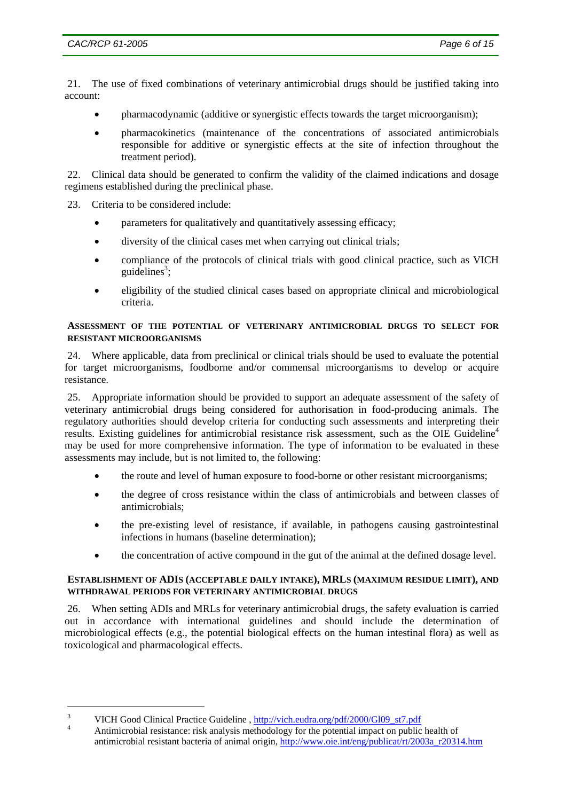21. The use of fixed combinations of veterinary antimicrobial drugs should be justified taking into account:

- pharmacodynamic (additive or synergistic effects towards the target microorganism);
- pharmacokinetics (maintenance of the concentrations of associated antimicrobials responsible for additive or synergistic effects at the site of infection throughout the treatment period).

22. Clinical data should be generated to confirm the validity of the claimed indications and dosage regimens established during the preclinical phase.

- 23. Criteria to be considered include:
	- parameters for qualitatively and quantitatively assessing efficacy;
	- diversity of the clinical cases met when carrying out clinical trials;
	- compliance of the protocols of clinical trials with good clinical practice, such as VICH guidelines<sup>3</sup>;
	- eligibility of the studied clinical cases based on appropriate clinical and microbiological criteria.

#### **ASSESSMENT OF THE POTENTIAL OF VETERINARY ANTIMICROBIAL DRUGS TO SELECT FOR RESISTANT MICROORGANISMS**

24. Where applicable, data from preclinical or clinical trials should be used to evaluate the potential for target microorganisms, foodborne and/or commensal microorganisms to develop or acquire resistance.

25. Appropriate information should be provided to support an adequate assessment of the safety of veterinary antimicrobial drugs being considered for authorisation in food-producing animals. The regulatory authorities should develop criteria for conducting such assessments and interpreting their results. Existing guidelines for antimicrobial resistance risk assessment, such as the OIE Guideline<sup>4</sup> may be used for more comprehensive information. The type of information to be evaluated in these assessments may include, but is not limited to, the following:

- the route and level of human exposure to food-borne or other resistant microorganisms;
- the degree of cross resistance within the class of antimicrobials and between classes of antimicrobials;
- the pre-existing level of resistance, if available, in pathogens causing gastrointestinal infections in humans (baseline determination);
- the concentration of active compound in the gut of the animal at the defined dosage level.

#### **ESTABLISHMENT OF ADIS (ACCEPTABLE DAILY INTAKE), MRLS (MAXIMUM RESIDUE LIMIT), AND WITHDRAWAL PERIODS FOR VETERINARY ANTIMICROBIAL DRUGS**

26. When setting ADIs and MRLs for veterinary antimicrobial drugs, the safety evaluation is carried out in accordance with international guidelines and should include the determination of microbiological effects (e.g., the potential biological effects on the human intestinal flora) as well as toxicological and pharmacological effects.

<sup>3</sup> VICH Good Clinical Practice Guideline,  $\frac{http://vich.eudra.org/pdf/2000/G109_st7.pdf}{4}$ 

Antimicrobial resistance: risk analysis methodology for the potential impact on public health of antimicrobial resistant bacteria of animal origin, http://www.oie.int/eng/publicat/rt/2003a\_r20314.htm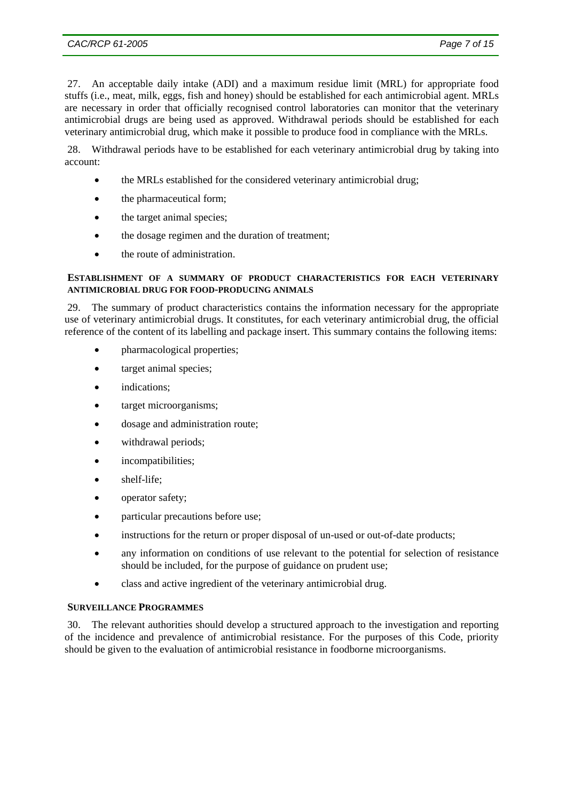27. An acceptable daily intake (ADI) and a maximum residue limit (MRL) for appropriate food stuffs (i.e., meat, milk, eggs, fish and honey) should be established for each antimicrobial agent. MRLs are necessary in order that officially recognised control laboratories can monitor that the veterinary antimicrobial drugs are being used as approved. Withdrawal periods should be established for each veterinary antimicrobial drug, which make it possible to produce food in compliance with the MRLs.

28. Withdrawal periods have to be established for each veterinary antimicrobial drug by taking into account:

- the MRLs established for the considered veterinary antimicrobial drug;
- the pharmaceutical form;
- the target animal species;
- the dosage regimen and the duration of treatment;
- the route of administration.

### **ESTABLISHMENT OF A SUMMARY OF PRODUCT CHARACTERISTICS FOR EACH VETERINARY ANTIMICROBIAL DRUG FOR FOOD-PRODUCING ANIMALS**

29. The summary of product characteristics contains the information necessary for the appropriate use of veterinary antimicrobial drugs. It constitutes, for each veterinary antimicrobial drug, the official reference of the content of its labelling and package insert. This summary contains the following items:

- pharmacological properties;
- target animal species;
- indications:
- target microorganisms;
- dosage and administration route;
- withdrawal periods;
- incompatibilities;
- shelf-life;
- operator safety;
- particular precautions before use;
- instructions for the return or proper disposal of un-used or out-of-date products;
- any information on conditions of use relevant to the potential for selection of resistance should be included, for the purpose of guidance on prudent use;
- class and active ingredient of the veterinary antimicrobial drug.

#### **SURVEILLANCE PROGRAMMES**

30. The relevant authorities should develop a structured approach to the investigation and reporting of the incidence and prevalence of antimicrobial resistance. For the purposes of this Code, priority should be given to the evaluation of antimicrobial resistance in foodborne microorganisms.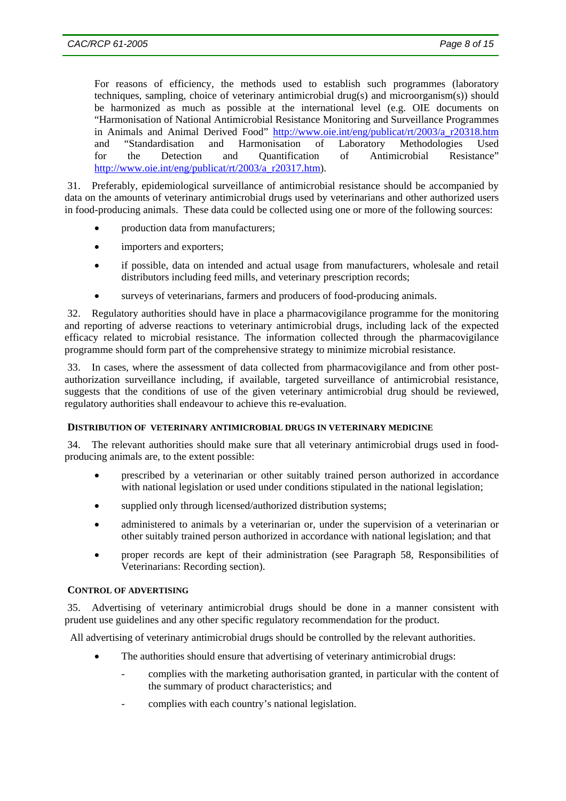For reasons of efficiency, the methods used to establish such programmes (laboratory techniques, sampling, choice of veterinary antimicrobial drug(s) and microorganism(s)) should be harmonized as much as possible at the international level (e.g. OIE documents on "Harmonisation of National Antimicrobial Resistance Monitoring and Surveillance Programmes in Animals and Animal Derived Food" http://www.oie.int/eng/publicat/rt/2003/a\_r20318.htm and "Standardisation and Harmonisation of Laboratory Methodologies Used for the Detection and Quantification of Antimicrobial Resistance" http://www.oie.int/eng/publicat/rt/2003/a\_r20317.htm).

31. Preferably, epidemiological surveillance of antimicrobial resistance should be accompanied by data on the amounts of veterinary antimicrobial drugs used by veterinarians and other authorized users in food-producing animals. These data could be collected using one or more of the following sources:

- production data from manufacturers;
- importers and exporters;
- if possible, data on intended and actual usage from manufacturers, wholesale and retail distributors including feed mills, and veterinary prescription records;
- surveys of veterinarians, farmers and producers of food-producing animals.

32. Regulatory authorities should have in place a pharmacovigilance programme for the monitoring and reporting of adverse reactions to veterinary antimicrobial drugs, including lack of the expected efficacy related to microbial resistance. The information collected through the pharmacovigilance programme should form part of the comprehensive strategy to minimize microbial resistance.

33. In cases, where the assessment of data collected from pharmacovigilance and from other postauthorization surveillance including, if available, targeted surveillance of antimicrobial resistance, suggests that the conditions of use of the given veterinary antimicrobial drug should be reviewed, regulatory authorities shall endeavour to achieve this re-evaluation.

## **DISTRIBUTION OF VETERINARY ANTIMICROBIAL DRUGS IN VETERINARY MEDICINE**

34. The relevant authorities should make sure that all veterinary antimicrobial drugs used in foodproducing animals are, to the extent possible:

- prescribed by a veterinarian or other suitably trained person authorized in accordance with national legislation or used under conditions stipulated in the national legislation;
- supplied only through licensed/authorized distribution systems;
- administered to animals by a veterinarian or, under the supervision of a veterinarian or other suitably trained person authorized in accordance with national legislation; and that
- proper records are kept of their administration (see Paragraph 58, Responsibilities of Veterinarians: Recording section).

## **CONTROL OF ADVERTISING**

35. Advertising of veterinary antimicrobial drugs should be done in a manner consistent with prudent use guidelines and any other specific regulatory recommendation for the product.

All advertising of veterinary antimicrobial drugs should be controlled by the relevant authorities.

- The authorities should ensure that advertising of veterinary antimicrobial drugs:
	- complies with the marketing authorisation granted, in particular with the content of the summary of product characteristics; and
	- complies with each country's national legislation.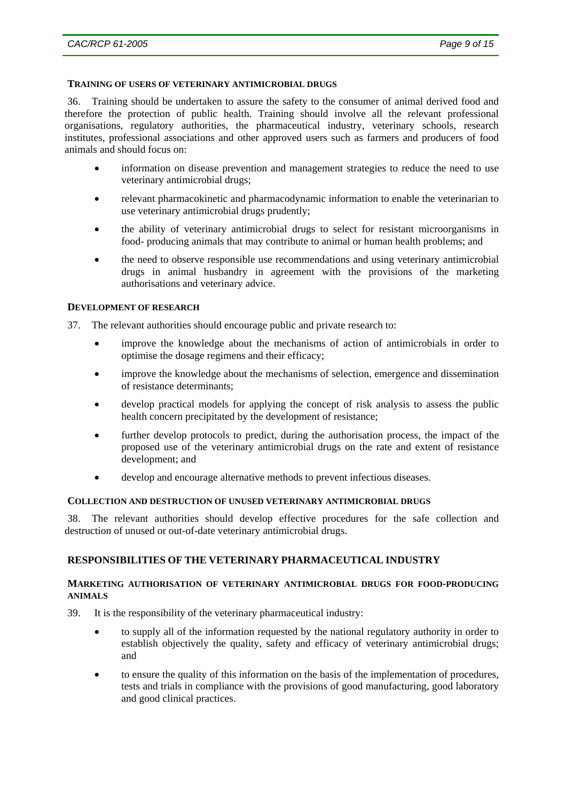#### **TRAINING OF USERS OF VETERINARY ANTIMICROBIAL DRUGS**

36. Training should be undertaken to assure the safety to the consumer of animal derived food and therefore the protection of public health. Training should involve all the relevant professional organisations, regulatory authorities, the pharmaceutical industry, veterinary schools, research institutes, professional associations and other approved users such as farmers and producers of food animals and should focus on:

- information on disease prevention and management strategies to reduce the need to use veterinary antimicrobial drugs;
- relevant pharmacokinetic and pharmacodynamic information to enable the veterinarian to use veterinary antimicrobial drugs prudently;
- the ability of veterinary antimicrobial drugs to select for resistant microorganisms in food- producing animals that may contribute to animal or human health problems; and
- the need to observe responsible use recommendations and using veterinary antimicrobial drugs in animal husbandry in agreement with the provisions of the marketing authorisations and veterinary advice.

#### **DEVELOPMENT OF RESEARCH**

37. The relevant authorities should encourage public and private research to:

- improve the knowledge about the mechanisms of action of antimicrobials in order to optimise the dosage regimens and their efficacy;
- improve the knowledge about the mechanisms of selection, emergence and dissemination of resistance determinants;
- develop practical models for applying the concept of risk analysis to assess the public health concern precipitated by the development of resistance;
- further develop protocols to predict, during the authorisation process, the impact of the proposed use of the veterinary antimicrobial drugs on the rate and extent of resistance development; and
- develop and encourage alternative methods to prevent infectious diseases.

#### **COLLECTION AND DESTRUCTION OF UNUSED VETERINARY ANTIMICROBIAL DRUGS**

38. The relevant authorities should develop effective procedures for the safe collection and destruction of unused or out-of-date veterinary antimicrobial drugs.

#### **RESPONSIBILITIES OF THE VETERINARY PHARMACEUTICAL INDUSTRY**

#### **MARKETING AUTHORISATION OF VETERINARY ANTIMICROBIAL DRUGS FOR FOOD-PRODUCING ANIMALS**

- 39. It is the responsibility of the veterinary pharmaceutical industry:
	- to supply all of the information requested by the national regulatory authority in order to establish objectively the quality, safety and efficacy of veterinary antimicrobial drugs; and
	- to ensure the quality of this information on the basis of the implementation of procedures, tests and trials in compliance with the provisions of good manufacturing, good laboratory and good clinical practices.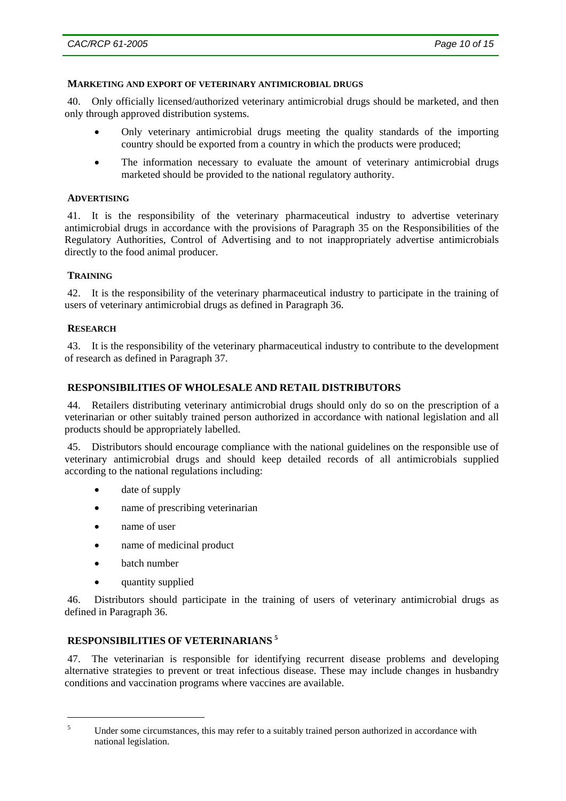#### **MARKETING AND EXPORT OF VETERINARY ANTIMICROBIAL DRUGS**

40. Only officially licensed/authorized veterinary antimicrobial drugs should be marketed, and then only through approved distribution systems.

- Only veterinary antimicrobial drugs meeting the quality standards of the importing country should be exported from a country in which the products were produced;
- The information necessary to evaluate the amount of veterinary antimicrobial drugs marketed should be provided to the national regulatory authority.

#### **ADVERTISING**

41. It is the responsibility of the veterinary pharmaceutical industry to advertise veterinary antimicrobial drugs in accordance with the provisions of Paragraph 35 on the Responsibilities of the Regulatory Authorities, Control of Advertising and to not inappropriately advertise antimicrobials directly to the food animal producer.

## **TRAINING**

42. It is the responsibility of the veterinary pharmaceutical industry to participate in the training of users of veterinary antimicrobial drugs as defined in Paragraph 36.

## **RESEARCH**

43. It is the responsibility of the veterinary pharmaceutical industry to contribute to the development of research as defined in Paragraph 37.

#### **RESPONSIBILITIES OF WHOLESALE AND RETAIL DISTRIBUTORS**

44. Retailers distributing veterinary antimicrobial drugs should only do so on the prescription of a veterinarian or other suitably trained person authorized in accordance with national legislation and all products should be appropriately labelled.

45. Distributors should encourage compliance with the national guidelines on the responsible use of veterinary antimicrobial drugs and should keep detailed records of all antimicrobials supplied according to the national regulations including:

- date of supply
- name of prescribing veterinarian
- name of user
- name of medicinal product
- batch number
- quantity supplied

46. Distributors should participate in the training of users of veterinary antimicrobial drugs as defined in Paragraph 36.

# **RESPONSIBILITIES OF VETERINARIANS <sup>5</sup>**

47. The veterinarian is responsible for identifying recurrent disease problems and developing alternative strategies to prevent or treat infectious disease. These may include changes in husbandry conditions and vaccination programs where vaccines are available.

 5

Under some circumstances, this may refer to a suitably trained person authorized in accordance with national legislation.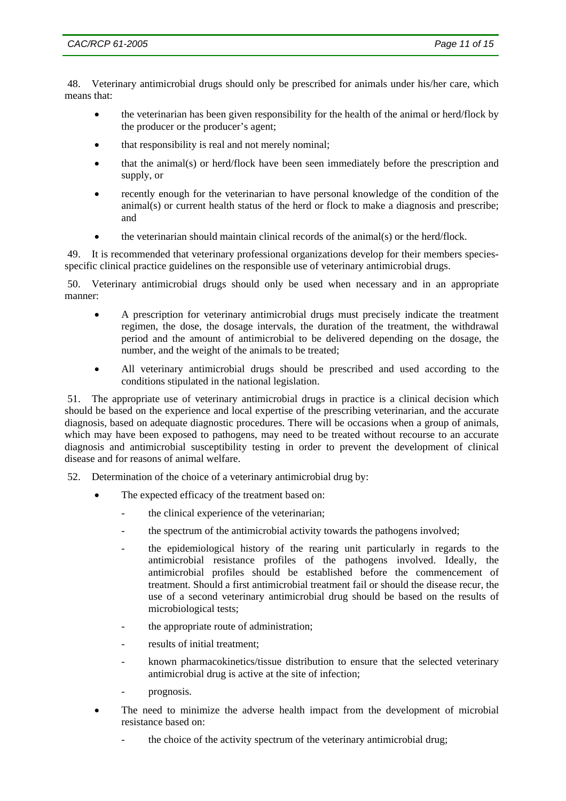48. Veterinary antimicrobial drugs should only be prescribed for animals under his/her care, which means that:

- the veterinarian has been given responsibility for the health of the animal or herd/flock by the producer or the producer's agent;
- that responsibility is real and not merely nominal;
- that the animal(s) or herd/flock have been seen immediately before the prescription and supply, or
- recently enough for the veterinarian to have personal knowledge of the condition of the  $\text{animal(s)}$  or current health status of the herd or flock to make a diagnosis and prescribe; and
- the veterinarian should maintain clinical records of the animal(s) or the herd/flock.

49. It is recommended that veterinary professional organizations develop for their members speciesspecific clinical practice guidelines on the responsible use of veterinary antimicrobial drugs.

50. Veterinary antimicrobial drugs should only be used when necessary and in an appropriate manner:

- A prescription for veterinary antimicrobial drugs must precisely indicate the treatment regimen, the dose, the dosage intervals, the duration of the treatment, the withdrawal period and the amount of antimicrobial to be delivered depending on the dosage, the number, and the weight of the animals to be treated;
- All veterinary antimicrobial drugs should be prescribed and used according to the conditions stipulated in the national legislation.

51. The appropriate use of veterinary antimicrobial drugs in practice is a clinical decision which should be based on the experience and local expertise of the prescribing veterinarian, and the accurate diagnosis, based on adequate diagnostic procedures. There will be occasions when a group of animals, which may have been exposed to pathogens, may need to be treated without recourse to an accurate diagnosis and antimicrobial susceptibility testing in order to prevent the development of clinical disease and for reasons of animal welfare.

52. Determination of the choice of a veterinary antimicrobial drug by:

- The expected efficacy of the treatment based on:
	- the clinical experience of the veterinarian;
	- the spectrum of the antimicrobial activity towards the pathogens involved;
	- the epidemiological history of the rearing unit particularly in regards to the antimicrobial resistance profiles of the pathogens involved. Ideally, the antimicrobial profiles should be established before the commencement of treatment. Should a first antimicrobial treatment fail or should the disease recur, the use of a second veterinary antimicrobial drug should be based on the results of microbiological tests;
	- the appropriate route of administration;
	- results of initial treatment:
	- known pharmacokinetics/tissue distribution to ensure that the selected veterinary antimicrobial drug is active at the site of infection;
	- prognosis.
- The need to minimize the adverse health impact from the development of microbial resistance based on:
	- the choice of the activity spectrum of the veterinary antimicrobial drug;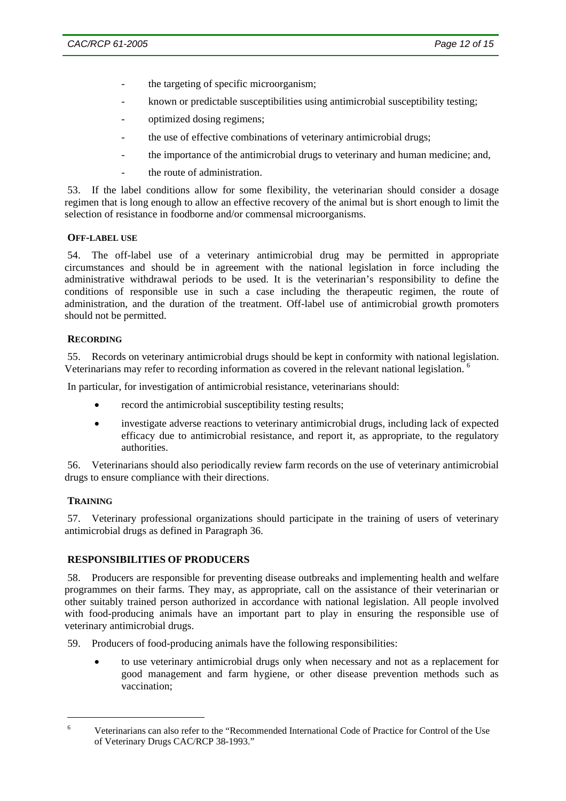- the targeting of specific microorganism;
- known or predictable susceptibilities using antimicrobial susceptibility testing;
- optimized dosing regimens;
- the use of effective combinations of veterinary antimicrobial drugs;
- the importance of the antimicrobial drugs to veterinary and human medicine; and,
- the route of administration.

53. If the label conditions allow for some flexibility, the veterinarian should consider a dosage regimen that is long enough to allow an effective recovery of the animal but is short enough to limit the selection of resistance in foodborne and/or commensal microorganisms.

#### **OFF-LABEL USE**

54. The off-label use of a veterinary antimicrobial drug may be permitted in appropriate circumstances and should be in agreement with the national legislation in force including the administrative withdrawal periods to be used. It is the veterinarian's responsibility to define the conditions of responsible use in such a case including the therapeutic regimen, the route of administration, and the duration of the treatment. Off-label use of antimicrobial growth promoters should not be permitted.

## **RECORDING**

55. Records on veterinary antimicrobial drugs should be kept in conformity with national legislation. Veterinarians may refer to recording information as covered in the relevant national legislation.<sup>6</sup>

In particular, for investigation of antimicrobial resistance, veterinarians should:

- record the antimicrobial susceptibility testing results;
- investigate adverse reactions to veterinary antimicrobial drugs, including lack of expected efficacy due to antimicrobial resistance, and report it, as appropriate, to the regulatory authorities.

56. Veterinarians should also periodically review farm records on the use of veterinary antimicrobial drugs to ensure compliance with their directions.

## **TRAINING**

57. Veterinary professional organizations should participate in the training of users of veterinary antimicrobial drugs as defined in Paragraph 36.

## **RESPONSIBILITIES OF PRODUCERS**

58. Producers are responsible for preventing disease outbreaks and implementing health and welfare programmes on their farms. They may, as appropriate, call on the assistance of their veterinarian or other suitably trained person authorized in accordance with national legislation. All people involved with food-producing animals have an important part to play in ensuring the responsible use of veterinary antimicrobial drugs.

- 59. Producers of food-producing animals have the following responsibilities:
	- to use veterinary antimicrobial drugs only when necessary and not as a replacement for good management and farm hygiene, or other disease prevention methods such as vaccination;

<sup>6</sup> Veterinarians can also refer to the "Recommended International Code of Practice for Control of the Use of Veterinary Drugs CAC/RCP 38-1993."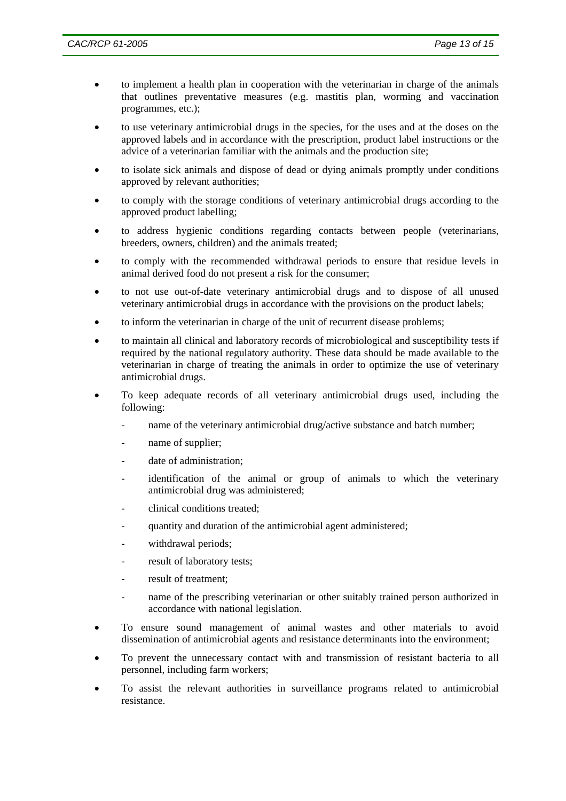- to implement a health plan in cooperation with the veterinarian in charge of the animals that outlines preventative measures (e.g. mastitis plan, worming and vaccination programmes, etc.);
- to use veterinary antimicrobial drugs in the species, for the uses and at the doses on the approved labels and in accordance with the prescription, product label instructions or the advice of a veterinarian familiar with the animals and the production site;
- to isolate sick animals and dispose of dead or dying animals promptly under conditions approved by relevant authorities;
- to comply with the storage conditions of veterinary antimicrobial drugs according to the approved product labelling;
- to address hygienic conditions regarding contacts between people (veterinarians, breeders, owners, children) and the animals treated;
- to comply with the recommended withdrawal periods to ensure that residue levels in animal derived food do not present a risk for the consumer;
- to not use out-of-date veterinary antimicrobial drugs and to dispose of all unused veterinary antimicrobial drugs in accordance with the provisions on the product labels;
- to inform the veterinarian in charge of the unit of recurrent disease problems;
- to maintain all clinical and laboratory records of microbiological and susceptibility tests if required by the national regulatory authority. These data should be made available to the veterinarian in charge of treating the animals in order to optimize the use of veterinary antimicrobial drugs.
- To keep adequate records of all veterinary antimicrobial drugs used, including the following:
	- name of the veterinary antimicrobial drug/active substance and batch number;
	- name of supplier;
	- date of administration;
	- identification of the animal or group of animals to which the veterinary antimicrobial drug was administered;
	- clinical conditions treated:
	- quantity and duration of the antimicrobial agent administered;
	- withdrawal periods;
	- result of laboratory tests;
	- result of treatment:
	- name of the prescribing veterinarian or other suitably trained person authorized in accordance with national legislation.
- To ensure sound management of animal wastes and other materials to avoid dissemination of antimicrobial agents and resistance determinants into the environment;
- To prevent the unnecessary contact with and transmission of resistant bacteria to all personnel, including farm workers;
- To assist the relevant authorities in surveillance programs related to antimicrobial resistance.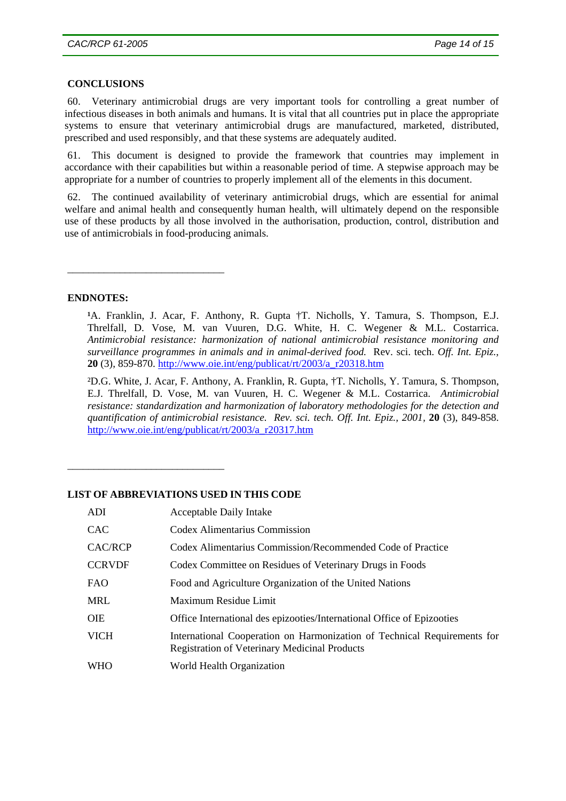## **CONCLUSIONS**

60. Veterinary antimicrobial drugs are very important tools for controlling a great number of infectious diseases in both animals and humans. It is vital that all countries put in place the appropriate systems to ensure that veterinary antimicrobial drugs are manufactured, marketed, distributed, prescribed and used responsibly, and that these systems are adequately audited.

61. This document is designed to provide the framework that countries may implement in accordance with their capabilities but within a reasonable period of time. A stepwise approach may be appropriate for a number of countries to properly implement all of the elements in this document.

62. The continued availability of veterinary antimicrobial drugs, which are essential for animal welfare and animal health and consequently human health, will ultimately depend on the responsible use of these products by all those involved in the authorisation, production, control, distribution and use of antimicrobials in food-producing animals.

#### **ENDNOTES:**

\_\_\_\_\_\_\_\_\_\_\_\_\_\_\_\_\_\_\_\_\_\_\_\_\_\_\_\_\_\_

\_\_\_\_\_\_\_\_\_\_\_\_\_\_\_\_\_\_\_\_\_\_\_\_\_\_\_\_\_\_

<sup>1</sup>A. Franklin, J. Acar, F. Anthony, R. Gupta †T. Nicholls, Y. Tamura, S. Thompson, E.J. Threlfall, D. Vose, M. van Vuuren, D.G. White, H. C. Wegener & M.L. Costarrica. *Antimicrobial resistance: harmonization of national antimicrobial resistance monitoring and surveillance programmes in animals and in animal-derived food.* Rev. sci. tech. *Off. Int. Epiz.,*  **20** (3), 859-870. http://www.oie.int/eng/publicat/rt/2003/a\_r20318.htm

²D.G. White, J. Acar, F. Anthony, A. Franklin, R. Gupta, †T. Nicholls, Y. Tamura, S. Thompson, E.J. Threlfall, D. Vose, M. van Vuuren, H. C. Wegener & M.L. Costarrica. *Antimicrobial resistance: standardization and harmonization of laboratory methodologies for the detection and quantification of antimicrobial resistance. Rev. sci. tech. Off. Int. Epiz., 2001,* **20** (3), 849-858. http://www.oie.int/eng/publicat/rt/2003/a\_r20317.htm

## **LIST OF ABBREVIATIONS USED IN THIS CODE**

| ADI            | <b>Acceptable Daily Intake</b>                                                                                                   |
|----------------|----------------------------------------------------------------------------------------------------------------------------------|
| <b>CAC</b>     | Codex Alimentarius Commission                                                                                                    |
| <b>CAC/RCP</b> | Codex Alimentarius Commission/Recommended Code of Practice                                                                       |
| <b>CCRVDF</b>  | Codex Committee on Residues of Veterinary Drugs in Foods                                                                         |
| <b>FAO</b>     | Food and Agriculture Organization of the United Nations                                                                          |
| <b>MRL</b>     | Maximum Residue Limit                                                                                                            |
| <b>OIE</b>     | Office International des epizooties/International Office of Epizooties                                                           |
| <b>VICH</b>    | International Cooperation on Harmonization of Technical Requirements for<br><b>Registration of Veterinary Medicinal Products</b> |
| <b>WHO</b>     | World Health Organization                                                                                                        |